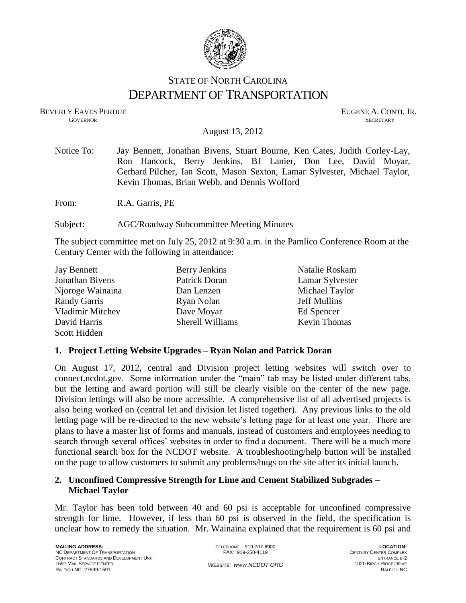

# STATE OF NORTH CAROLINA DEPARTMENT OF TRANSPORTATION

BEVERLY EAVES PERDUE **EUGENE A. CONTI, JR. GOVERNOR SECRETARY** SECRETARY

August 13, 2012

| Notice To: | Jay Bennett, Jonathan Bivens, Stuart Bourne, Ken Cates, Judith Corley-Lay,<br>Ron Hancock, Berry Jenkins, BJ Lanier, Don Lee, David Moyar,<br>Gerhard Pilcher, Ian Scott, Mason Sexton, Lamar Sylvester, Michael Taylor,<br>Kevin Thomas, Brian Webb, and Dennis Wofford |
|------------|--------------------------------------------------------------------------------------------------------------------------------------------------------------------------------------------------------------------------------------------------------------------------|
| From:      | R.A. Garris, PE                                                                                                                                                                                                                                                          |
| Subject:   | <b>AGC/Roadway Subcommittee Meeting Minutes</b>                                                                                                                                                                                                                          |

The subject committee met on July 25, 2012 at 9:30 a.m. in the Pamlico Conference Room at the Century Center with the following in attendance:

| <b>Jay Bennett</b>  | Berry Jenkins    | Natalie Roskam      |
|---------------------|------------------|---------------------|
| Jonathan Bivens     | Patrick Doran    | Lamar Sylvester     |
| Njoroge Wainaina    | Dan Lenzen       | Michael Taylor      |
| <b>Randy Garris</b> | Ryan Nolan       | <b>Jeff Mullins</b> |
| Vladimir Mitchev    | Dave Moyar       | Ed Spencer          |
| David Harris        | Sherell Williams | <b>Kevin Thomas</b> |
| Scott Hidden        |                  |                     |

#### **1. Project Letting Website Upgrades – Ryan Nolan and Patrick Doran**

On August 17, 2012, central and Division project letting websites will switch over to connect.ncdot.gov. Some information under the "main" tab may be listed under different tabs, but the letting and award portion will still be clearly visible on the center of the new page. Division lettings will also be more accessible. A comprehensive list of all advertised projects is also being worked on (central let and division let listed together). Any previous links to the old letting page will be re-directed to the new website's letting page for at least one year. There are plans to have a master list of forms and manuals, instead of customers and employees needing to search through several offices' websites in order to find a document. There will be a much more functional search box for the NCDOT website. A troubleshooting/help button will be installed on the page to allow customers to submit any problems/bugs on the site after its initial launch.

### **2. Unconfined Compressive Strength for Lime and Cement Stabilized Subgrades – Michael Taylor**

Mr. Taylor has been told between 40 and 60 psi is acceptable for unconfined compressive strength for lime. However, if less than 60 psi is observed in the field, the specification is unclear how to remedy the situation. Mr. Wainaina explained that the requirement is 60 psi and

TELEPHONE: 919-707-6900 FAX: 919-250-4119 *WEBSITE: WWW.NCDOT.ORG*

**LOCATION:** CENTURY CENTER COMPLEX ENTRANCE B-2 1020 BIRCH RIDGE DRIVE RALEIGH NC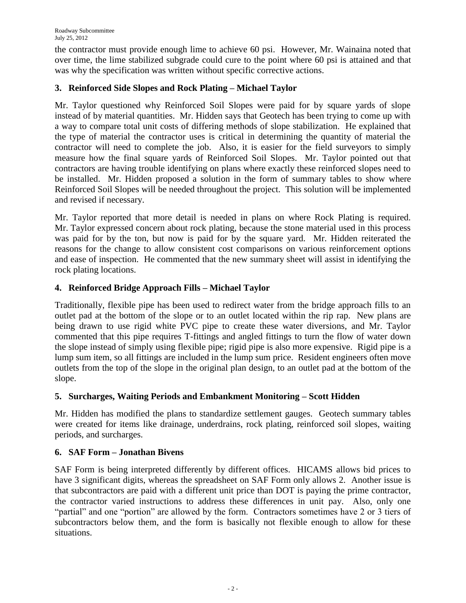the contractor must provide enough lime to achieve 60 psi. However, Mr. Wainaina noted that over time, the lime stabilized subgrade could cure to the point where 60 psi is attained and that was why the specification was written without specific corrective actions.

# **3. Reinforced Side Slopes and Rock Plating – Michael Taylor**

Mr. Taylor questioned why Reinforced Soil Slopes were paid for by square yards of slope instead of by material quantities. Mr. Hidden says that Geotech has been trying to come up with a way to compare total unit costs of differing methods of slope stabilization. He explained that the type of material the contractor uses is critical in determining the quantity of material the contractor will need to complete the job. Also, it is easier for the field surveyors to simply measure how the final square yards of Reinforced Soil Slopes. Mr. Taylor pointed out that contractors are having trouble identifying on plans where exactly these reinforced slopes need to be installed. Mr. Hidden proposed a solution in the form of summary tables to show where Reinforced Soil Slopes will be needed throughout the project. This solution will be implemented and revised if necessary.

Mr. Taylor reported that more detail is needed in plans on where Rock Plating is required. Mr. Taylor expressed concern about rock plating, because the stone material used in this process was paid for by the ton, but now is paid for by the square yard. Mr. Hidden reiterated the reasons for the change to allow consistent cost comparisons on various reinforcement options and ease of inspection. He commented that the new summary sheet will assist in identifying the rock plating locations.

# **4. Reinforced Bridge Approach Fills – Michael Taylor**

Traditionally, flexible pipe has been used to redirect water from the bridge approach fills to an outlet pad at the bottom of the slope or to an outlet located within the rip rap. New plans are being drawn to use rigid white PVC pipe to create these water diversions, and Mr. Taylor commented that this pipe requires T-fittings and angled fittings to turn the flow of water down the slope instead of simply using flexible pipe; rigid pipe is also more expensive. Rigid pipe is a lump sum item, so all fittings are included in the lump sum price. Resident engineers often move outlets from the top of the slope in the original plan design, to an outlet pad at the bottom of the slope.

# **5. Surcharges, Waiting Periods and Embankment Monitoring – Scott Hidden**

Mr. Hidden has modified the plans to standardize settlement gauges. Geotech summary tables were created for items like drainage, underdrains, rock plating, reinforced soil slopes, waiting periods, and surcharges.

# **6. SAF Form – Jonathan Bivens**

SAF Form is being interpreted differently by different offices. HICAMS allows bid prices to have 3 significant digits, whereas the spreadsheet on SAF Form only allows 2. Another issue is that subcontractors are paid with a different unit price than DOT is paying the prime contractor, the contractor varied instructions to address these differences in unit pay. Also, only one "partial" and one "portion" are allowed by the form. Contractors sometimes have 2 or 3 tiers of subcontractors below them, and the form is basically not flexible enough to allow for these situations.